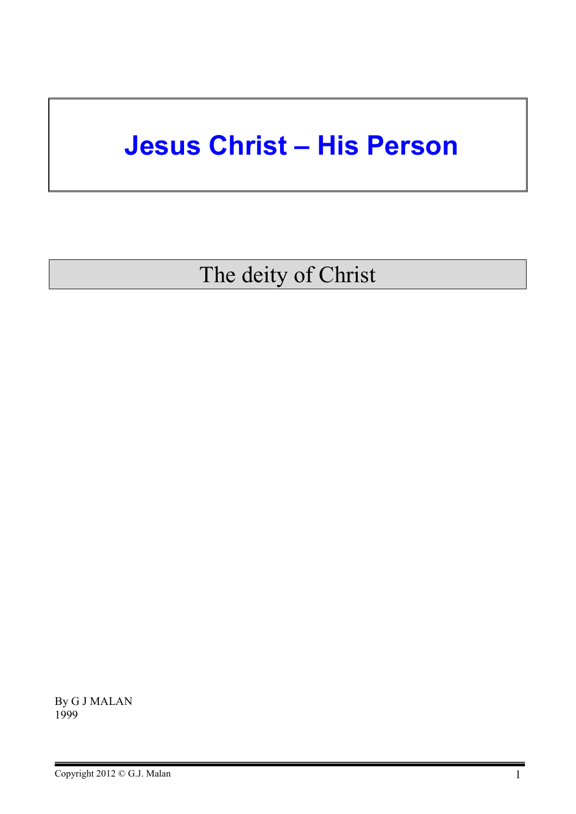# **Jesus Christ – His Person**

The deity of Christ

By G J MALAN 1999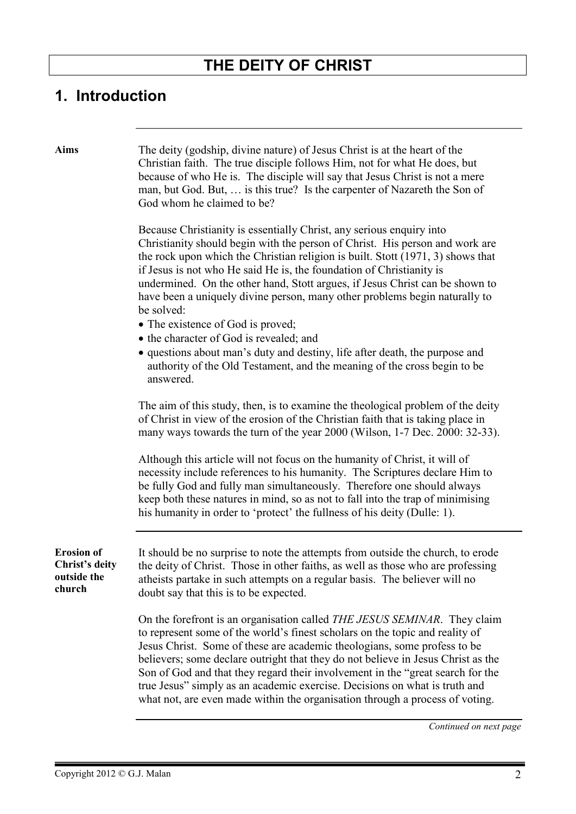# **THE DEITY OF CHRIST**

# **1. Introduction**

| <b>Aims</b>                                                  | The deity (godship, divine nature) of Jesus Christ is at the heart of the<br>Christian faith. The true disciple follows Him, not for what He does, but<br>because of who He is. The disciple will say that Jesus Christ is not a mere<br>man, but God. But,  is this true? Is the carpenter of Nazareth the Son of<br>God whom he claimed to be?                                                                                                                                                                                                                                 |
|--------------------------------------------------------------|----------------------------------------------------------------------------------------------------------------------------------------------------------------------------------------------------------------------------------------------------------------------------------------------------------------------------------------------------------------------------------------------------------------------------------------------------------------------------------------------------------------------------------------------------------------------------------|
|                                                              | Because Christianity is essentially Christ, any serious enquiry into<br>Christianity should begin with the person of Christ. His person and work are<br>the rock upon which the Christian religion is built. Stott (1971, 3) shows that<br>if Jesus is not who He said He is, the foundation of Christianity is<br>undermined. On the other hand, Stott argues, if Jesus Christ can be shown to<br>have been a uniquely divine person, many other problems begin naturally to<br>be solved:<br>• The existence of God is proved;                                                 |
|                                                              | • the character of God is revealed; and<br>• questions about man's duty and destiny, life after death, the purpose and<br>authority of the Old Testament, and the meaning of the cross begin to be<br>answered.                                                                                                                                                                                                                                                                                                                                                                  |
|                                                              | The aim of this study, then, is to examine the theological problem of the deity<br>of Christ in view of the erosion of the Christian faith that is taking place in<br>many ways towards the turn of the year 2000 (Wilson, 1-7 Dec. 2000: 32-33).                                                                                                                                                                                                                                                                                                                                |
|                                                              | Although this article will not focus on the humanity of Christ, it will of<br>necessity include references to his humanity. The Scriptures declare Him to<br>be fully God and fully man simultaneously. Therefore one should always<br>keep both these natures in mind, so as not to fall into the trap of minimising<br>his humanity in order to 'protect' the fullness of his deity (Dulle: 1).                                                                                                                                                                                |
| <b>Erosion</b> of<br>Christ's deity<br>outside the<br>church | It should be no surprise to note the attempts from outside the church, to erode<br>the deity of Christ. Those in other faiths, as well as those who are professing<br>atheists partake in such attempts on a regular basis. The believer will no<br>doubt say that this is to be expected.                                                                                                                                                                                                                                                                                       |
|                                                              | On the forefront is an organisation called <i>THE JESUS SEMINAR</i> . They claim<br>to represent some of the world's finest scholars on the topic and reality of<br>Jesus Christ. Some of these are academic theologians, some profess to be<br>believers; some declare outright that they do not believe in Jesus Christ as the<br>Son of God and that they regard their involvement in the "great search for the<br>true Jesus" simply as an academic exercise. Decisions on what is truth and<br>what not, are even made within the organisation through a process of voting. |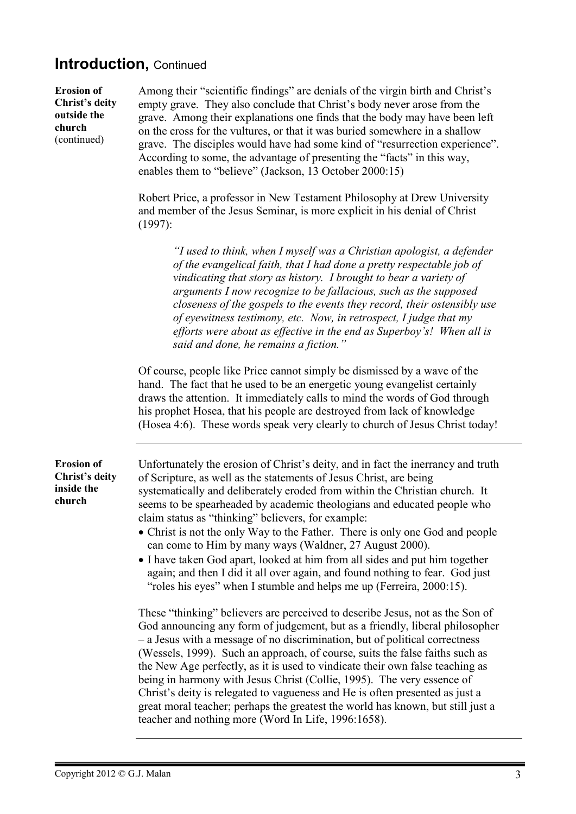# **Introduction,** Continued

| <b>Erosion</b> of<br><b>Christ's deity</b><br>outside the<br>church<br>(continued) | Among their "scientific findings" are denials of the virgin birth and Christ's<br>empty grave. They also conclude that Christ's body never arose from the<br>grave. Among their explanations one finds that the body may have been left<br>on the cross for the vultures, or that it was buried somewhere in a shallow<br>grave. The disciples would have had some kind of "resurrection experience".<br>According to some, the advantage of presenting the "facts" in this way,<br>enables them to "believe" (Jackson, 13 October 2000:15)                                                                                                                                                                                                              |
|------------------------------------------------------------------------------------|----------------------------------------------------------------------------------------------------------------------------------------------------------------------------------------------------------------------------------------------------------------------------------------------------------------------------------------------------------------------------------------------------------------------------------------------------------------------------------------------------------------------------------------------------------------------------------------------------------------------------------------------------------------------------------------------------------------------------------------------------------|
|                                                                                    | Robert Price, a professor in New Testament Philosophy at Drew University<br>and member of the Jesus Seminar, is more explicit in his denial of Christ<br>$(1997)$ :                                                                                                                                                                                                                                                                                                                                                                                                                                                                                                                                                                                      |
|                                                                                    | "I used to think, when I myself was a Christian apologist, a defender<br>of the evangelical faith, that I had done a pretty respectable job of<br>vindicating that story as history. I brought to bear a variety of<br>arguments I now recognize to be fallacious, such as the supposed<br>closeness of the gospels to the events they record, their ostensibly use<br>of eyewitness testimony, etc. Now, in retrospect, I judge that my<br>efforts were about as effective in the end as Superboy's! When all is<br>said and done, he remains a fiction."                                                                                                                                                                                               |
|                                                                                    | Of course, people like Price cannot simply be dismissed by a wave of the<br>hand. The fact that he used to be an energetic young evangelist certainly<br>draws the attention. It immediately calls to mind the words of God through<br>his prophet Hosea, that his people are destroyed from lack of knowledge<br>(Hosea 4:6). These words speak very clearly to church of Jesus Christ today!                                                                                                                                                                                                                                                                                                                                                           |
| <b>Erosion</b> of<br>Christ's deity<br>inside the<br>church                        | Unfortunately the erosion of Christ's deity, and in fact the inerrancy and truth<br>of Scripture, as well as the statements of Jesus Christ, are being<br>systematically and deliberately eroded from within the Christian church. It<br>seems to be spearheaded by academic theologians and educated people who<br>claim status as "thinking" believers, for example:<br>• Christ is not the only Way to the Father. There is only one God and people<br>can come to Him by many ways (Waldner, 27 August 2000).<br>• I have taken God apart, looked at him from all sides and put him together<br>again; and then I did it all over again, and found nothing to fear. God just<br>"roles his eyes" when I stumble and helps me up (Ferreira, 2000:15). |
|                                                                                    | These "thinking" believers are perceived to describe Jesus, not as the Son of<br>God announcing any form of judgement, but as a friendly, liberal philosopher<br>- a Jesus with a message of no discrimination, but of political correctness<br>(Wessels, 1999). Such an approach, of course, suits the false faiths such as<br>the New Age perfectly, as it is used to vindicate their own false teaching as<br>being in harmony with Jesus Christ (Collie, 1995). The very essence of<br>Christ's deity is relegated to vagueness and He is often presented as just a<br>great moral teacher; perhaps the greatest the world has known, but still just a<br>teacher and nothing more (Word In Life, 1996:1658).                                        |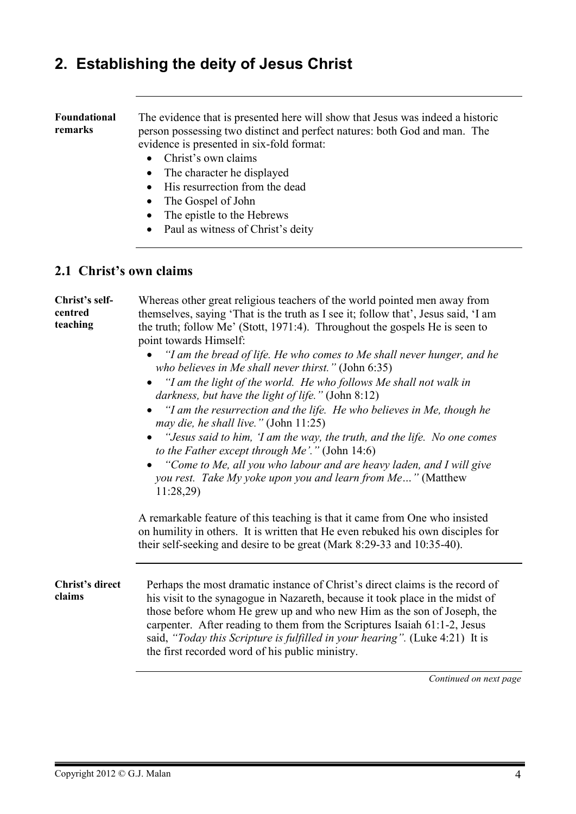# **2. Establishing the deity of Jesus Christ**

#### **Foundational remarks**  The evidence that is presented here will show that Jesus was indeed a historic person possessing two distinct and perfect natures: both God and man. The evidence is presented in six-fold format:

- Christ's own claims
- The character he displayed
- His resurrection from the dead
- The Gospel of John
- The epistle to the Hebrews
- Paul as witness of Christ's deity

#### **2.1 Christ's own claims**

#### **Christ's selfcentred teaching**  Whereas other great religious teachers of the world pointed men away from themselves, saying 'That is the truth as I see it; follow that', Jesus said, 'I am the truth; follow Me' (Stott, 1971:4). Throughout the gospels He is seen to point towards Himself:

- *"I am the bread of life. He who comes to Me shall never hunger, and he who believes in Me shall never thirst."* (John 6:35)
- *"I am the light of the world. He who follows Me shall not walk in darkness, but have the light of life."* (John 8:12)
- *"I am the resurrection and the life. He who believes in Me, though he may die, he shall live."* (John 11:25)
- *"Jesus said to him, 'I am the way, the truth, and the life. No one comes to the Father except through Me'."* (John 14:6)
- *"Come to Me, all you who labour and are heavy laden, and I will give you rest. Take My yoke upon you and learn from Me…"* (Matthew 11:28,29)

A remarkable feature of this teaching is that it came from One who insisted on humility in others. It is written that He even rebuked his own disciples for their self-seeking and desire to be great (Mark 8:29-33 and 10:35-40).

**Christ's direct claims**  Perhaps the most dramatic instance of Christ's direct claims is the record of his visit to the synagogue in Nazareth, because it took place in the midst of those before whom He grew up and who new Him as the son of Joseph, the carpenter. After reading to them from the Scriptures Isaiah 61:1-2, Jesus said, *"Today this Scripture is fulfilled in your hearing".* (Luke 4:21) It is the first recorded word of his public ministry.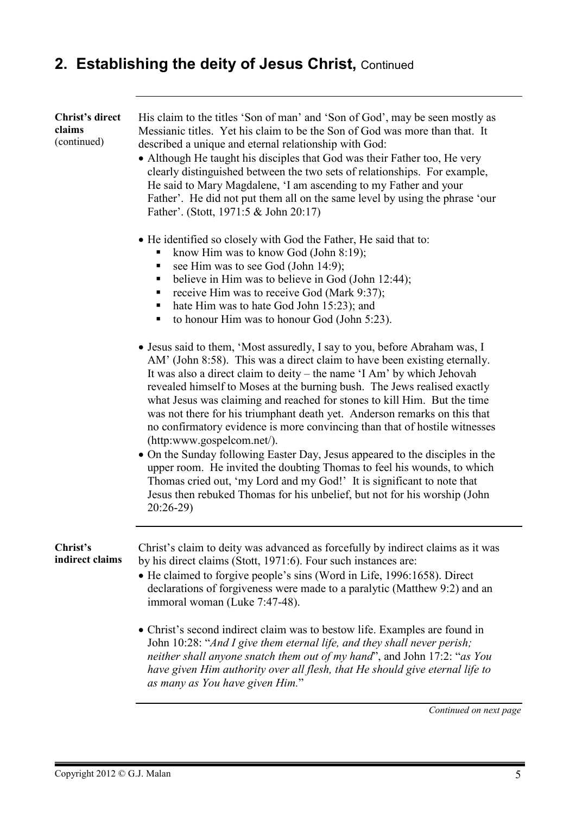| Christ's direct<br>claims<br>(continued) | His claim to the titles 'Son of man' and 'Son of God', may be seen mostly as<br>Messianic titles. Yet his claim to be the Son of God was more than that. It<br>described a unique and eternal relationship with God:<br>• Although He taught his disciples that God was their Father too, He very<br>clearly distinguished between the two sets of relationships. For example,<br>He said to Mary Magdalene, 'I am ascending to my Father and your<br>Father'. He did not put them all on the same level by using the phrase 'our<br>Father'. (Stott, 1971:5 & John 20:17)                                                                                                                                                                                                                                                                                                                                         |
|------------------------------------------|--------------------------------------------------------------------------------------------------------------------------------------------------------------------------------------------------------------------------------------------------------------------------------------------------------------------------------------------------------------------------------------------------------------------------------------------------------------------------------------------------------------------------------------------------------------------------------------------------------------------------------------------------------------------------------------------------------------------------------------------------------------------------------------------------------------------------------------------------------------------------------------------------------------------|
|                                          | • He identified so closely with God the Father, He said that to:<br>know Him was to know God (John 8:19);<br>see Him was to see God (John 14:9);<br>believe in Him was to believe in God (John 12:44);<br>п<br>receive Him was to receive God (Mark 9:37);<br>п<br>hate Him was to hate God John 15:23); and<br>п<br>to honour Him was to honour God (John 5:23).<br>п                                                                                                                                                                                                                                                                                                                                                                                                                                                                                                                                             |
|                                          | • Jesus said to them, 'Most assuredly, I say to you, before Abraham was, I<br>AM' (John 8:58). This was a direct claim to have been existing eternally.<br>It was also a direct claim to deity – the name 'I Am' by which Jehovah<br>revealed himself to Moses at the burning bush. The Jews realised exactly<br>what Jesus was claiming and reached for stones to kill Him. But the time<br>was not there for his triumphant death yet. Anderson remarks on this that<br>no confirmatory evidence is more convincing than that of hostile witnesses<br>(http:www.gospelcom.net/).<br>• On the Sunday following Easter Day, Jesus appeared to the disciples in the<br>upper room. He invited the doubting Thomas to feel his wounds, to which<br>Thomas cried out, 'my Lord and my God!' It is significant to note that<br>Jesus then rebuked Thomas for his unbelief, but not for his worship (John<br>$20:26-29$ |
| Christ's<br>indirect claims              | Christ's claim to deity was advanced as forcefully by indirect claims as it was<br>by his direct claims (Stott, 1971:6). Four such instances are:<br>• He claimed to forgive people's sins (Word in Life, 1996:1658). Direct<br>declarations of forgiveness were made to a paralytic (Matthew 9:2) and an<br>immoral woman (Luke 7:47-48).                                                                                                                                                                                                                                                                                                                                                                                                                                                                                                                                                                         |
|                                          | • Christ's second indirect claim was to bestow life. Examples are found in<br>John 10:28: "And I give them eternal life, and they shall never perish;<br>neither shall anyone snatch them out of my hand", and John 17:2: "as You<br>have given Him authority over all flesh, that He should give eternal life to<br>as many as You have given Him."                                                                                                                                                                                                                                                                                                                                                                                                                                                                                                                                                               |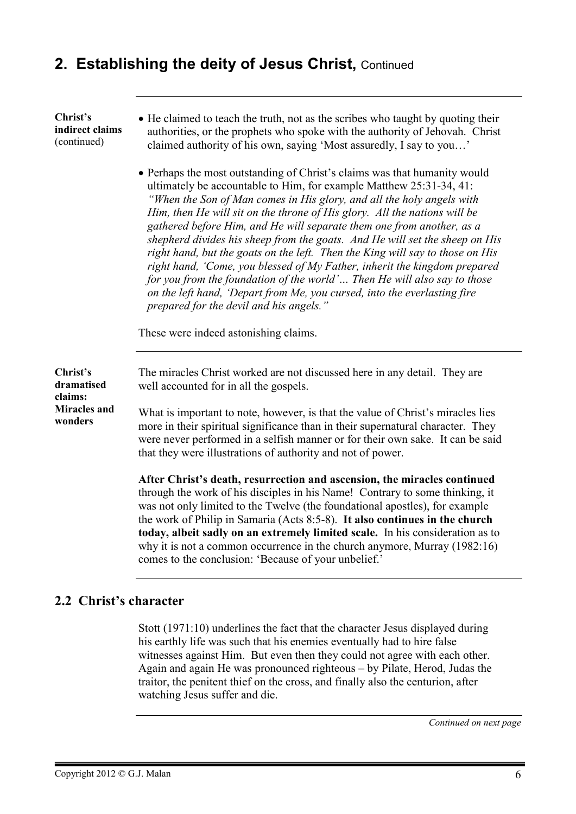#### **Christ's indirect claims** (continued)

- He claimed to teach the truth, not as the scribes who taught by quoting their authorities, or the prophets who spoke with the authority of Jehovah. Christ claimed authority of his own, saying 'Most assuredly, I say to you…'
- Perhaps the most outstanding of Christ's claims was that humanity would ultimately be accountable to Him, for example Matthew 25:31-34, 41: *"When the Son of Man comes in His glory, and all the holy angels with Him, then He will sit on the throne of His glory. All the nations will be gathered before Him, and He will separate them one from another, as a shepherd divides his sheep from the goats. And He will set the sheep on His right hand, but the goats on the left. Then the King will say to those on His right hand, 'Come, you blessed of My Father, inherit the kingdom prepared for you from the foundation of the world'… Then He will also say to those on the left hand, 'Depart from Me, you cursed, into the everlasting fire prepared for the devil and his angels."*

These were indeed astonishing claims.

**Christ's dramatised claims: Miracles and wonders**  The miracles Christ worked are not discussed here in any detail. They are well accounted for in all the gospels. What is important to note, however, is that the value of Christ's miracles lies more in their spiritual significance than in their supernatural character. They were never performed in a selfish manner or for their own sake. It can be said that they were illustrations of authority and not of power. **After Christ's death, resurrection and ascension, the miracles continued**

through the work of his disciples in his Name! Contrary to some thinking, it was not only limited to the Twelve (the foundational apostles), for example the work of Philip in Samaria (Acts 8:5-8). **It also continues in the church today, albeit sadly on an extremely limited scale.** In his consideration as to why it is not a common occurrence in the church anymore, Murray (1982:16) comes to the conclusion: 'Because of your unbelief.'

#### **2.2 Christ's character**

Stott (1971:10) underlines the fact that the character Jesus displayed during his earthly life was such that his enemies eventually had to hire false witnesses against Him. But even then they could not agree with each other. Again and again He was pronounced righteous – by Pilate, Herod, Judas the traitor, the penitent thief on the cross, and finally also the centurion, after watching Jesus suffer and die.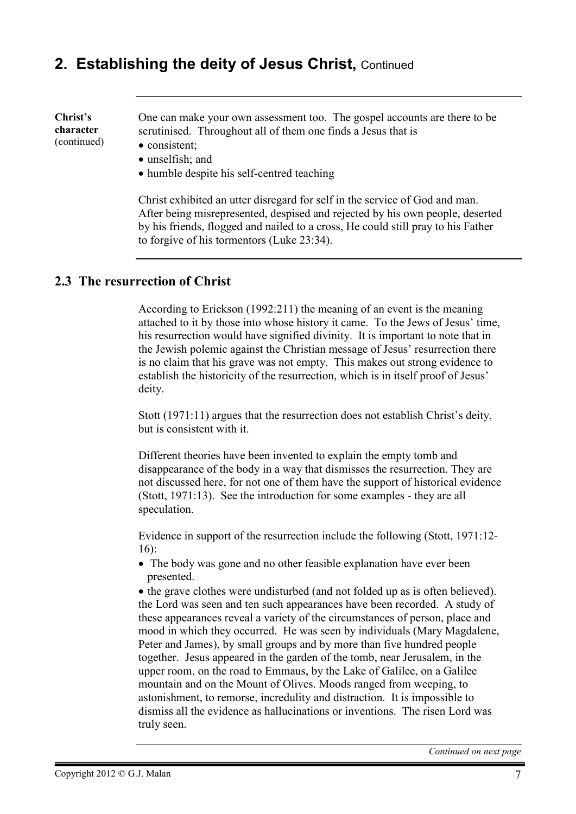**Christ's character**  (continued) One can make your own assessment too. The gospel accounts are there to be scrutinised. Throughout all of them one finds a Jesus that is • consistent:

- unselfish; and
- humble despite his self-centred teaching

Christ exhibited an utter disregard for self in the service of God and man. After being misrepresented, despised and rejected by his own people, deserted by his friends, flogged and nailed to a cross, He could still pray to his Father to forgive of his tormentors (Luke 23:34).

#### **2.3 The resurrection of Christ**

According to Erickson (1992:211) the meaning of an event is the meaning attached to it by those into whose history it came. To the Jews of Jesus' time, his resurrection would have signified divinity. It is important to note that in the Jewish polemic against the Christian message of Jesus' resurrection there is no claim that his grave was not empty. This makes out strong evidence to establish the historicity of the resurrection, which is in itself proof of Jesus' deity.

Stott (1971:11) argues that the resurrection does not establish Christ's deity, but is consistent with it.

Different theories have been invented to explain the empty tomb and disappearance of the body in a way that dismisses the resurrection. They are not discussed here, for not one of them have the support of historical evidence (Stott, 1971:13). See the introduction for some examples - they are all speculation.

Evidence in support of the resurrection include the following (Stott, 1971:12- 16):

• The body was gone and no other feasible explanation have ever been presented.

• the grave clothes were undisturbed (and not folded up as is often believed). the Lord was seen and ten such appearances have been recorded. A study of these appearances reveal a variety of the circumstances of person, place and mood in which they occurred. He was seen by individuals (Mary Magdalene, Peter and James), by small groups and by more than five hundred people together. Jesus appeared in the garden of the tomb, near Jerusalem, in the upper room, on the road to Emmaus, by the Lake of Galilee, on a Galilee mountain and on the Mount of Olives. Moods ranged from weeping, to astonishment, to remorse, incredulity and distraction. It is impossible to dismiss all the evidence as hallucinations or inventions. The risen Lord was truly seen.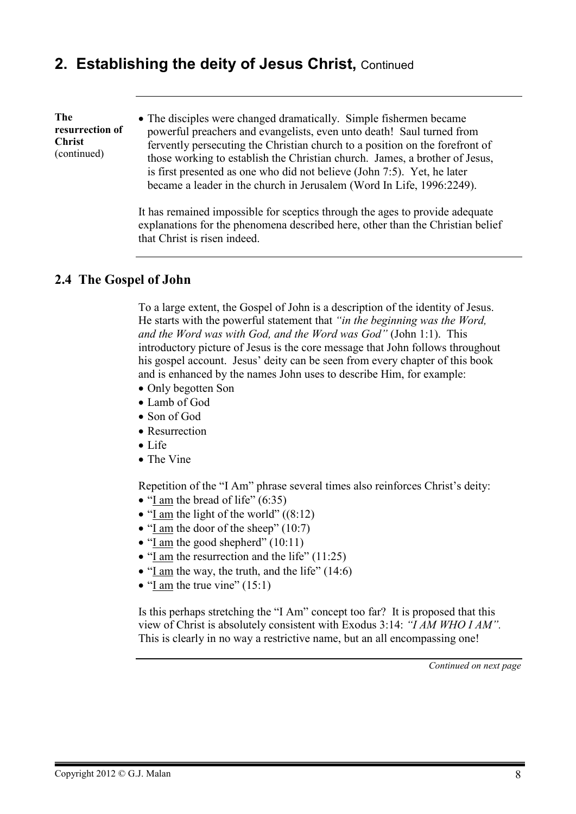#### **The resurrection of Christ**  (continued)

• The disciples were changed dramatically. Simple fishermen became powerful preachers and evangelists, even unto death! Saul turned from fervently persecuting the Christian church to a position on the forefront of those working to establish the Christian church. James, a brother of Jesus, is first presented as one who did not believe (John 7:5). Yet, he later became a leader in the church in Jerusalem (Word In Life, 1996:2249).

It has remained impossible for sceptics through the ages to provide adequate explanations for the phenomena described here, other than the Christian belief that Christ is risen indeed.

#### **2.4 The Gospel of John**

To a large extent, the Gospel of John is a description of the identity of Jesus. He starts with the powerful statement that *"in the beginning was the Word, and the Word was with God, and the Word was God"* (John 1:1). This introductory picture of Jesus is the core message that John follows throughout his gospel account. Jesus' deity can be seen from every chapter of this book and is enhanced by the names John uses to describe Him, for example:

- Only begotten Son
- Lamb of God
- Son of God
- Resurrection
- Life
- The Vine

Repetition of the "I Am" phrase several times also reinforces Christ's deity:

- "I am the bread of life"  $(6:35)$
- "I am the light of the world"  $((8:12)$
- "I am the door of the sheep" (10:7)
- "I am the good shepherd" (10:11)
- "I am the resurrection and the life" (11:25)
- "I am the way, the truth, and the life" (14:6)
- "I am the true vine"  $(15:1)$

Is this perhaps stretching the "I Am" concept too far? It is proposed that this view of Christ is absolutely consistent with Exodus 3:14: *"I AM WHO I AM".* This is clearly in no way a restrictive name, but an all encompassing one!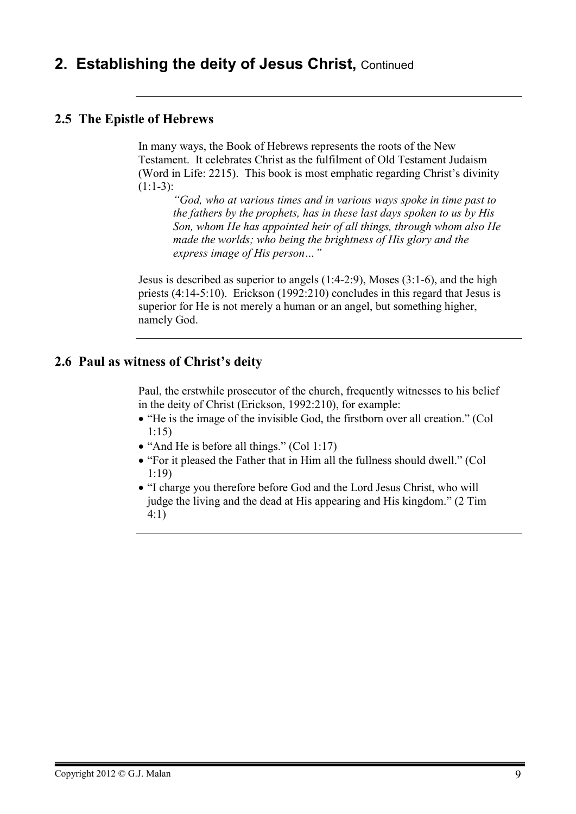#### **2.5 The Epistle of Hebrews**

In many ways, the Book of Hebrews represents the roots of the New Testament. It celebrates Christ as the fulfilment of Old Testament Judaism (Word in Life: 2215). This book is most emphatic regarding Christ's divinity  $(1:1-3):$ 

*"God, who at various times and in various ways spoke in time past to the fathers by the prophets, has in these last days spoken to us by His Son, whom He has appointed heir of all things, through whom also He made the worlds; who being the brightness of His glory and the express image of His person…"*

Jesus is described as superior to angels (1:4-2:9), Moses (3:1-6), and the high priests (4:14-5:10). Erickson (1992:210) concludes in this regard that Jesus is superior for He is not merely a human or an angel, but something higher, namely God.

#### **2.6 Paul as witness of Christ's deity**

Paul, the erstwhile prosecutor of the church, frequently witnesses to his belief in the deity of Christ (Erickson, 1992:210), for example:

- "He is the image of the invisible God, the firstborn over all creation." (Col 1:15)
- "And He is before all things." (Col 1:17)
- "For it pleased the Father that in Him all the fullness should dwell." (Col 1:19)
- "I charge you therefore before God and the Lord Jesus Christ, who will judge the living and the dead at His appearing and His kingdom." (2 Tim 4:1)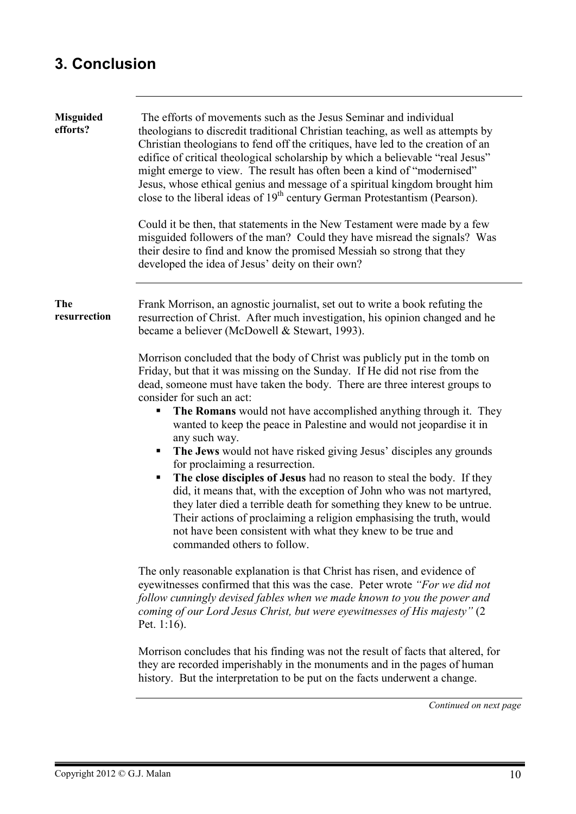# **3. Conclusion**

| <b>Misguided</b><br>efforts? | The efforts of movements such as the Jesus Seminar and individual<br>theologians to discredit traditional Christian teaching, as well as attempts by<br>Christian theologians to fend off the critiques, have led to the creation of an<br>edifice of critical theological scholarship by which a believable "real Jesus"<br>might emerge to view. The result has often been a kind of "modernised"<br>Jesus, whose ethical genius and message of a spiritual kingdom brought him<br>close to the liberal ideas of 19 <sup>th</sup> century German Protestantism (Pearson).<br>Could it be then, that statements in the New Testament were made by a few<br>misguided followers of the man? Could they have misread the signals? Was<br>their desire to find and know the promised Messiah so strong that they<br>developed the idea of Jesus' deity on their own?                                                                              |
|------------------------------|-------------------------------------------------------------------------------------------------------------------------------------------------------------------------------------------------------------------------------------------------------------------------------------------------------------------------------------------------------------------------------------------------------------------------------------------------------------------------------------------------------------------------------------------------------------------------------------------------------------------------------------------------------------------------------------------------------------------------------------------------------------------------------------------------------------------------------------------------------------------------------------------------------------------------------------------------|
| The<br>resurrection          | Frank Morrison, an agnostic journalist, set out to write a book refuting the<br>resurrection of Christ. After much investigation, his opinion changed and he<br>became a believer (McDowell & Stewart, 1993).                                                                                                                                                                                                                                                                                                                                                                                                                                                                                                                                                                                                                                                                                                                                   |
|                              | Morrison concluded that the body of Christ was publicly put in the tomb on<br>Friday, but that it was missing on the Sunday. If He did not rise from the<br>dead, someone must have taken the body. There are three interest groups to<br>consider for such an act:<br>The Romans would not have accomplished anything through it. They<br>wanted to keep the peace in Palestine and would not jeopardise it in<br>any such way.<br>The Jews would not have risked giving Jesus' disciples any grounds<br>for proclaiming a resurrection.<br>The close disciples of Jesus had no reason to steal the body. If they<br>Ξ<br>did, it means that, with the exception of John who was not martyred,<br>they later died a terrible death for something they knew to be untrue.<br>Their actions of proclaiming a religion emphasising the truth, would<br>not have been consistent with what they knew to be true and<br>commanded others to follow. |
|                              | The only reasonable explanation is that Christ has risen, and evidence of<br>eyewitnesses confirmed that this was the case. Peter wrote "For we did not<br>follow cunningly devised fables when we made known to you the power and<br>coming of our Lord Jesus Christ, but were eyewitnesses of His majesty" (2<br>Pet. $1:16$ ).                                                                                                                                                                                                                                                                                                                                                                                                                                                                                                                                                                                                               |
|                              | Morrison concludes that his finding was not the result of facts that altered, for<br>they are recorded imperishably in the monuments and in the pages of human<br>history. But the interpretation to be put on the facts underwent a change.                                                                                                                                                                                                                                                                                                                                                                                                                                                                                                                                                                                                                                                                                                    |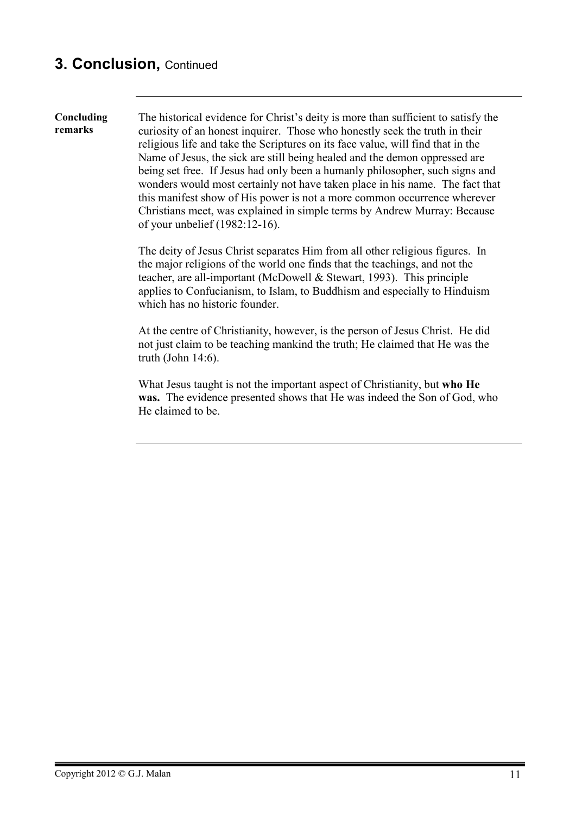# **3. Conclusion,** Continued

**Concluding remarks**  The historical evidence for Christ's deity is more than sufficient to satisfy the curiosity of an honest inquirer. Those who honestly seek the truth in their religious life and take the Scriptures on its face value, will find that in the Name of Jesus, the sick are still being healed and the demon oppressed are being set free. If Jesus had only been a humanly philosopher, such signs and wonders would most certainly not have taken place in his name. The fact that this manifest show of His power is not a more common occurrence wherever Christians meet, was explained in simple terms by Andrew Murray: Because of your unbelief (1982:12-16).

> The deity of Jesus Christ separates Him from all other religious figures. In the major religions of the world one finds that the teachings, and not the teacher, are all-important (McDowell & Stewart, 1993). This principle applies to Confucianism, to Islam, to Buddhism and especially to Hinduism which has no historic founder.

> At the centre of Christianity, however, is the person of Jesus Christ. He did not just claim to be teaching mankind the truth; He claimed that He was the truth (John 14:6).

What Jesus taught is not the important aspect of Christianity, but **who He was.** The evidence presented shows that He was indeed the Son of God, who He claimed to be.